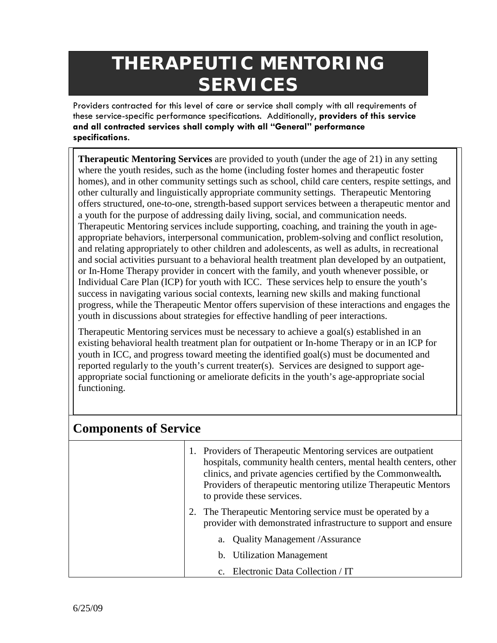## **THERAPEUTIC MENTORING SERVICES**

Providers contracted for this level of care or service shall comply with all requirements of these service-specific performance specifications. Additionally, **providers of this service and all contracted services shall comply with all "General" performance specifications**.

**Therapeutic Mentoring Services** are provided to youth (under the age of 21) in any setting where the youth resides, such as the home (including foster homes and therapeutic foster homes), and in other community settings such as school, child care centers, respite settings, and other culturally and linguistically appropriate community settings. Therapeutic Mentoring offers structured, one-to-one, strength-based support services between a therapeutic mentor and a youth for the purpose of addressing daily living, social, and communication needs. Therapeutic Mentoring services include supporting, coaching, and training the youth in ageappropriate behaviors, interpersonal communication, problem-solving and conflict resolution, and relating appropriately to other children and adolescents, as well as adults, in recreational and social activities pursuant to a behavioral health treatment plan developed by an outpatient, or In-Home Therapy provider in concert with the family, and youth whenever possible, or Individual Care Plan (ICP) for youth with ICC. These services help to ensure the youth's success in navigating various social contexts, learning new skills and making functional progress, while the Therapeutic Mentor offers supervision of these interactions and engages the youth in discussions about strategies for effective handling of peer interactions.

Therapeutic Mentoring services must be necessary to achieve a goal(s) established in an existing behavioral health treatment plan for outpatient or In-home Therapy or in an ICP for youth in ICC, and progress toward meeting the identified goal(s) must be documented and reported regularly to the youth's current treater(s). Services are designed to support ageappropriate social functioning or ameliorate deficits in the youth's age-appropriate social functioning.

| <b>Components of Service</b> |                                                                                                                                                                                                                                                                                                    |  |
|------------------------------|----------------------------------------------------------------------------------------------------------------------------------------------------------------------------------------------------------------------------------------------------------------------------------------------------|--|
|                              | 1. Providers of Therapeutic Mentoring services are outpatient<br>hospitals, community health centers, mental health centers, other<br>clinics, and private agencies certified by the Commonwealth.<br>Providers of therapeutic mentoring utilize Therapeutic Mentors<br>to provide these services. |  |
|                              | 2. The Therapeutic Mentoring service must be operated by a<br>provider with demonstrated infrastructure to support and ensure                                                                                                                                                                      |  |
|                              | <b>Quality Management /Assurance</b>                                                                                                                                                                                                                                                               |  |
|                              | <b>Utilization Management</b><br>b.                                                                                                                                                                                                                                                                |  |
|                              | c. Electronic Data Collection / IT                                                                                                                                                                                                                                                                 |  |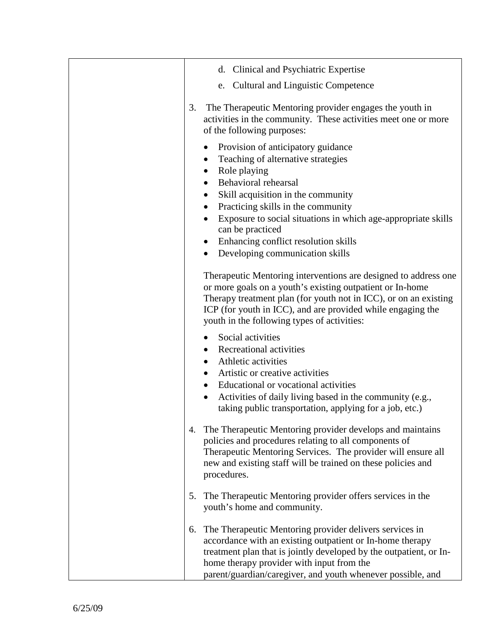| d. Clinical and Psychiatric Expertise                                                                                                                                                                                                                                                                                                                                                                                                                                |
|----------------------------------------------------------------------------------------------------------------------------------------------------------------------------------------------------------------------------------------------------------------------------------------------------------------------------------------------------------------------------------------------------------------------------------------------------------------------|
| e. Cultural and Linguistic Competence                                                                                                                                                                                                                                                                                                                                                                                                                                |
| The Therapeutic Mentoring provider engages the youth in<br>3.<br>activities in the community. These activities meet one or more<br>of the following purposes:                                                                                                                                                                                                                                                                                                        |
| Provision of anticipatory guidance<br>$\bullet$<br>Teaching of alternative strategies<br>$\bullet$<br>Role playing<br>$\bullet$<br>Behavioral rehearsal<br>$\bullet$<br>Skill acquisition in the community<br>$\bullet$<br>Practicing skills in the community<br>$\bullet$<br>Exposure to social situations in which age-appropriate skills<br>can be practiced<br>Enhancing conflict resolution skills<br>$\bullet$<br>Developing communication skills<br>$\bullet$ |
| Therapeutic Mentoring interventions are designed to address one<br>or more goals on a youth's existing outpatient or In-home<br>Therapy treatment plan (for youth not in ICC), or on an existing<br>ICP (for youth in ICC), and are provided while engaging the<br>youth in the following types of activities:                                                                                                                                                       |
| Social activities<br><b>Recreational activities</b><br>$\bullet$<br>Athletic activities<br>$\bullet$<br>Artistic or creative activities<br>Educational or vocational activities<br>Activities of daily living based in the community (e.g.,<br>$\bullet$<br>taking public transportation, applying for a job, etc.)                                                                                                                                                  |
| The Therapeutic Mentoring provider develops and maintains<br>4.<br>policies and procedures relating to all components of<br>Therapeutic Mentoring Services. The provider will ensure all<br>new and existing staff will be trained on these policies and<br>procedures.                                                                                                                                                                                              |
| The Therapeutic Mentoring provider offers services in the<br>5.<br>youth's home and community.                                                                                                                                                                                                                                                                                                                                                                       |
| The Therapeutic Mentoring provider delivers services in<br>6.<br>accordance with an existing outpatient or In-home therapy<br>treatment plan that is jointly developed by the outpatient, or In-<br>home therapy provider with input from the<br>parent/guardian/caregiver, and youth whenever possible, and                                                                                                                                                         |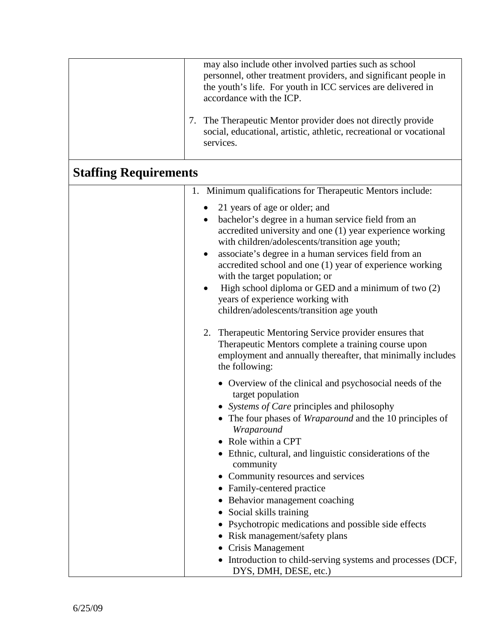|                              | may also include other involved parties such as school<br>personnel, other treatment providers, and significant people in<br>the youth's life. For youth in ICC services are delivered in<br>accordance with the ICP.<br>The Therapeutic Mentor provider does not directly provide<br>7.<br>social, educational, artistic, athletic, recreational or vocational<br>services.                                                                                                                                                                                                                                                                              |  |
|------------------------------|-----------------------------------------------------------------------------------------------------------------------------------------------------------------------------------------------------------------------------------------------------------------------------------------------------------------------------------------------------------------------------------------------------------------------------------------------------------------------------------------------------------------------------------------------------------------------------------------------------------------------------------------------------------|--|
| <b>Staffing Requirements</b> |                                                                                                                                                                                                                                                                                                                                                                                                                                                                                                                                                                                                                                                           |  |
|                              | 1. Minimum qualifications for Therapeutic Mentors include:                                                                                                                                                                                                                                                                                                                                                                                                                                                                                                                                                                                                |  |
|                              | 21 years of age or older; and<br>bachelor's degree in a human service field from an<br>$\bullet$<br>accredited university and one (1) year experience working<br>with children/adolescents/transition age youth;<br>associate's degree in a human services field from an<br>$\bullet$<br>accredited school and one (1) year of experience working<br>with the target population; or<br>High school diploma or GED and a minimum of two (2)<br>$\bullet$<br>years of experience working with<br>children/adolescents/transition age youth<br>2. Therapeutic Mentoring Service provider ensures that<br>Therapeutic Mentors complete a training course upon |  |
|                              | employment and annually thereafter, that minimally includes<br>the following:                                                                                                                                                                                                                                                                                                                                                                                                                                                                                                                                                                             |  |
|                              | • Overview of the clinical and psychosocial needs of the<br>target population<br>• Systems of Care principles and philosophy<br>• The four phases of <i>Wraparound</i> and the 10 principles of<br>Wraparound<br>• Role within a CPT<br>• Ethnic, cultural, and linguistic considerations of the<br>community<br>Community resources and services<br>• Family-centered practice<br>Behavior management coaching<br>Social skills training<br>Psychotropic medications and possible side effects<br>• Risk management/safety plans<br>• Crisis Management<br>• Introduction to child-serving systems and processes (DCF,<br>DYS, DMH, DESE, etc.)          |  |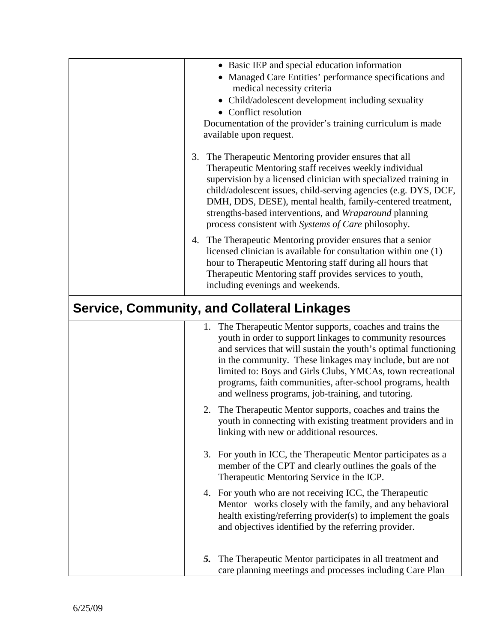|                                                    | • Basic IEP and special education information<br>• Managed Care Entities' performance specifications and<br>medical necessity criteria<br>• Child/adolescent development including sexuality<br>• Conflict resolution<br>Documentation of the provider's training curriculum is made<br>available upon request.                                                                                                                             |
|----------------------------------------------------|---------------------------------------------------------------------------------------------------------------------------------------------------------------------------------------------------------------------------------------------------------------------------------------------------------------------------------------------------------------------------------------------------------------------------------------------|
| 3.                                                 | The Therapeutic Mentoring provider ensures that all<br>Therapeutic Mentoring staff receives weekly individual<br>supervision by a licensed clinician with specialized training in<br>child/adolescent issues, child-serving agencies (e.g. DYS, DCF,<br>DMH, DDS, DESE), mental health, family-centered treatment,<br>strengths-based interventions, and Wraparound planning<br>process consistent with Systems of Care philosophy.         |
| 4.                                                 | The Therapeutic Mentoring provider ensures that a senior<br>licensed clinician is available for consultation within one (1)<br>hour to Therapeutic Mentoring staff during all hours that<br>Therapeutic Mentoring staff provides services to youth,<br>including evenings and weekends.                                                                                                                                                     |
| <b>Service, Community, and Collateral Linkages</b> |                                                                                                                                                                                                                                                                                                                                                                                                                                             |
|                                                    | The Therapeutic Mentor supports, coaches and trains the<br>1.<br>youth in order to support linkages to community resources<br>and services that will sustain the youth's optimal functioning<br>in the community. These linkages may include, but are not<br>limited to: Boys and Girls Clubs, YMCAs, town recreational<br>programs, faith communities, after-school programs, health<br>and wellness programs, job-training, and tutoring. |
|                                                    | 2. The Therapeutic Mentor supports, coaches and trains the<br>youth in connecting with existing treatment providers and in<br>linking with new or additional resources.                                                                                                                                                                                                                                                                     |
|                                                    | 3. For youth in ICC, the Therapeutic Mentor participates as a<br>member of the CPT and clearly outlines the goals of the<br>Therapeutic Mentoring Service in the ICP.                                                                                                                                                                                                                                                                       |
|                                                    | 4. For youth who are not receiving ICC, the Therapeutic<br>Mentor works closely with the family, and any behavioral<br>health existing/referring provider(s) to implement the goals<br>and objectives identified by the referring provider.                                                                                                                                                                                                 |
|                                                    | The Therapeutic Mentor participates in all treatment and<br>5.<br>care planning meetings and processes including Care Plan                                                                                                                                                                                                                                                                                                                  |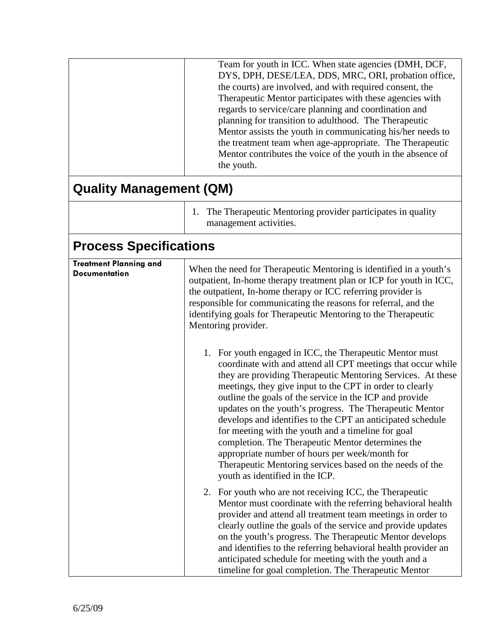|                                                       | Team for youth in ICC. When state agencies (DMH, DCF,<br>DYS, DPH, DESE/LEA, DDS, MRC, ORI, probation office,<br>the courts) are involved, and with required consent, the<br>Therapeutic Mentor participates with these agencies with<br>regards to service/care planning and coordination and<br>planning for transition to adulthood. The Therapeutic<br>Mentor assists the youth in communicating his/her needs to<br>the treatment team when age-appropriate. The Therapeutic<br>Mentor contributes the voice of the youth in the absence of<br>the youth.                                                                  |
|-------------------------------------------------------|---------------------------------------------------------------------------------------------------------------------------------------------------------------------------------------------------------------------------------------------------------------------------------------------------------------------------------------------------------------------------------------------------------------------------------------------------------------------------------------------------------------------------------------------------------------------------------------------------------------------------------|
| <b>Quality Management (QM)</b>                        |                                                                                                                                                                                                                                                                                                                                                                                                                                                                                                                                                                                                                                 |
|                                                       | 1. The Therapeutic Mentoring provider participates in quality<br>management activities.                                                                                                                                                                                                                                                                                                                                                                                                                                                                                                                                         |
| <b>Process Specifications</b>                         |                                                                                                                                                                                                                                                                                                                                                                                                                                                                                                                                                                                                                                 |
| <b>Treatment Planning and</b><br><b>Documentation</b> | When the need for Therapeutic Mentoring is identified in a youth's<br>outpatient, In-home therapy treatment plan or ICP for youth in ICC,<br>the outpatient, In-home therapy or ICC referring provider is<br>responsible for communicating the reasons for referral, and the<br>identifying goals for Therapeutic Mentoring to the Therapeutic<br>Mentoring provider.<br>For youth engaged in ICC, the Therapeutic Mentor must<br>1.<br>coordinate with and attend all CPT meetings that occur while<br>they are providing Therapeutic Mentoring Services. At these<br>meetings, they give input to the CPT in order to clearly |
|                                                       | outline the goals of the service in the ICP and provide<br>updates on the youth's progress. The Therapeutic Mentor<br>develops and identifies to the CPT an anticipated schedule<br>for meeting with the youth and a timeline for goal<br>completion. The Therapeutic Mentor determines the<br>appropriate number of hours per week/month for<br>Therapeutic Mentoring services based on the needs of the<br>youth as identified in the ICP.                                                                                                                                                                                    |
|                                                       | 2. For youth who are not receiving ICC, the Therapeutic<br>Mentor must coordinate with the referring behavioral health<br>provider and attend all treatment team meetings in order to<br>clearly outline the goals of the service and provide updates<br>on the youth's progress. The Therapeutic Mentor develops<br>and identifies to the referring behavioral health provider an<br>anticipated schedule for meeting with the youth and a<br>timeline for goal completion. The Therapeutic Mentor                                                                                                                             |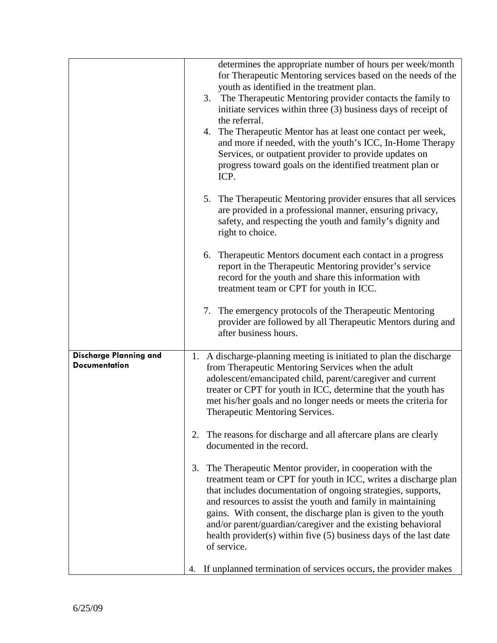|                                                | determines the appropriate number of hours per week/month<br>for Therapeutic Mentoring services based on the needs of the<br>youth as identified in the treatment plan.<br>3. The Therapeutic Mentoring provider contacts the family to<br>initiate services within three (3) business days of receipt of<br>the referral.<br>The Therapeutic Mentor has at least one contact per week,<br>4.<br>and more if needed, with the youth's ICC, In-Home Therapy<br>Services, or outpatient provider to provide updates on<br>progress toward goals on the identified treatment plan or<br>ICP. |
|------------------------------------------------|-------------------------------------------------------------------------------------------------------------------------------------------------------------------------------------------------------------------------------------------------------------------------------------------------------------------------------------------------------------------------------------------------------------------------------------------------------------------------------------------------------------------------------------------------------------------------------------------|
|                                                | The Therapeutic Mentoring provider ensures that all services<br>5.<br>are provided in a professional manner, ensuring privacy,<br>safety, and respecting the youth and family's dignity and<br>right to choice.                                                                                                                                                                                                                                                                                                                                                                           |
|                                                | Therapeutic Mentors document each contact in a progress<br>6.<br>report in the Therapeutic Mentoring provider's service<br>record for the youth and share this information with<br>treatment team or CPT for youth in ICC.                                                                                                                                                                                                                                                                                                                                                                |
|                                                | 7. The emergency protocols of the Therapeutic Mentoring<br>provider are followed by all Therapeutic Mentors during and<br>after business hours.                                                                                                                                                                                                                                                                                                                                                                                                                                           |
| Discharge Planning and<br><b>Documentation</b> | 1. A discharge-planning meeting is initiated to plan the discharge<br>from Therapeutic Mentoring Services when the adult<br>adolescent/emancipated child, parent/caregiver and current<br>treater or CPT for youth in ICC, determine that the youth has<br>met his/her goals and no longer needs or meets the criteria for<br>Therapeutic Mentoring Services.                                                                                                                                                                                                                             |
|                                                | The reasons for discharge and all aftercare plans are clearly<br>2.<br>documented in the record.                                                                                                                                                                                                                                                                                                                                                                                                                                                                                          |
|                                                | The Therapeutic Mentor provider, in cooperation with the<br>3.<br>treatment team or CPT for youth in ICC, writes a discharge plan<br>that includes documentation of ongoing strategies, supports,<br>and resources to assist the youth and family in maintaining<br>gains. With consent, the discharge plan is given to the youth<br>and/or parent/guardian/caregiver and the existing behavioral<br>health provider(s) within five (5) business days of the last date<br>of service.                                                                                                     |
|                                                | If unplanned termination of services occurs, the provider makes<br>4.                                                                                                                                                                                                                                                                                                                                                                                                                                                                                                                     |